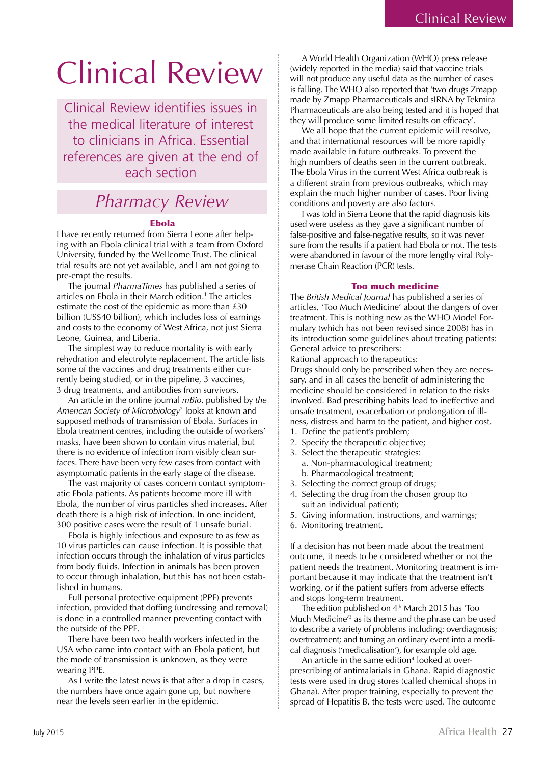# Clinical Review

Clinical Review identifies issues in the medical literature of interest to clinicians in Africa. Essential references are given at the end of each section

# *Pharmacy Review*

# Ebola

I have recently returned from Sierra Leone after helping with an Ebola clinical trial with a team from Oxford University, funded by the Wellcome Trust. The clinical trial results are not yet available, and I am not going to pre-empt the results.

The journal *PharmaTimes* has published a series of articles on Ebola in their March edition.1 The articles estimate the cost of the epidemic as more than £30 billion (US\$40 billion), which includes loss of earnings and costs to the economy of West Africa, not just Sierra Leone, Guinea, and Liberia.

The simplest way to reduce mortality is with early rehydration and electrolyte replacement. The article lists some of the vaccines and drug treatments either currently being studied, or in the pipeline, 3 vaccines, 3 drug treatments, and antibodies from survivors.

An article in the online journal *mBio*, published by *the American Society of Microbiology*<sup>2</sup> looks at known and supposed methods of transmission of Ebola. Surfaces in Ebola treatment centres, including the outside of workers' masks, have been shown to contain virus material, but there is no evidence of infection from visibly clean surfaces. There have been very few cases from contact with asymptomatic patients in the early stage of the disease.

The vast majority of cases concern contact symptomatic Ebola patients. As patients become more ill with Ebola, the number of virus particles shed increases. After death there is a high risk of infection. In one incident, 300 positive cases were the result of 1 unsafe burial.

Ebola is highly infectious and exposure to as few as 10 virus particles can cause infection. It is possible that infection occurs through the inhalation of virus particles from body fluids. Infection in animals has been proven to occur through inhalation, but this has not been established in humans.

Full personal protective equipment (PPE) prevents infection, provided that doffing (undressing and removal) is done in a controlled manner preventing contact with the outside of the PPE.

There have been two health workers infected in the USA who came into contact with an Ebola patient, but the mode of transmission is unknown, as they were wearing PPE.

As I write the latest news is that after a drop in cases, the numbers have once again gone up, but nowhere near the levels seen earlier in the epidemic.

A World Health Organization (WHO) press release (widely reported in the media) said that vaccine trials will not produce any useful data as the number of cases is falling. The WHO also reported that 'two drugs Zmapp made by Zmapp Pharmaceuticals and sIRNA by Tekmira Pharmaceuticals are also being tested and it is hoped that they will produce some limited results on efficacy'.

We all hope that the current epidemic will resolve, and that international resources will be more rapidly made available in future outbreaks. To prevent the high numbers of deaths seen in the current outbreak. The Ebola Virus in the current West Africa outbreak is a different strain from previous outbreaks, which may explain the much higher number of cases. Poor living conditions and poverty are also factors.

I was told in Sierra Leone that the rapid diagnosis kits used were useless as they gave a significant number of false-positive and false-negative results, so it was never sure from the results if a patient had Ebola or not. The tests were abandoned in favour of the more lengthy viral Polymerase Chain Reaction (PCR) tests.

### Too much medicine

The *British Medical Journal* has published a series of articles, 'Too Much Medicine' about the dangers of over treatment. This is nothing new as the WHO Model Formulary (which has not been revised since 2008) has in its introduction some guidelines about treating patients: General advice to prescribers:

Rational approach to therapeutics:

Drugs should only be prescribed when they are necessary, and in all cases the benefit of administering the medicine should be considered in relation to the risks involved. Bad prescribing habits lead to ineffective and unsafe treatment, exacerbation or prolongation of illness, distress and harm to the patient, and higher cost.

- 1. Define the patient's problem;
- 2. Specify the therapeutic objective;
- 3. Select the therapeutic strategies:
	- a. Non-pharmacological treatment; b. Pharmacological treatment;
- 3. Selecting the correct group of drugs;
- 4. Selecting the drug from the chosen group (to suit an individual patient);
- 5. Giving information, instructions, and warnings;
- 6. Monitoring treatment.

If a decision has not been made about the treatment outcome, it needs to be considered whether or not the patient needs the treatment. Monitoring treatment is important because it may indicate that the treatment isn't working, or if the patient suffers from adverse effects and stops long-term treatment.

The edition published on  $4<sup>th</sup>$  March 2015 has 'Too Much Medicine'3 as its theme and the phrase can be used to describe a variety of problems including: overdiagnosis; overtreatment; and turning an ordinary event into a medical diagnosis ('medicalisation'), for example old age.

An article in the same edition<sup>4</sup> looked at overprescribing of antimalarials in Ghana. Rapid diagnostic tests were used in drug stores (called chemical shops in Ghana). After proper training, especially to prevent the spread of Hepatitis B, the tests were used. The outcome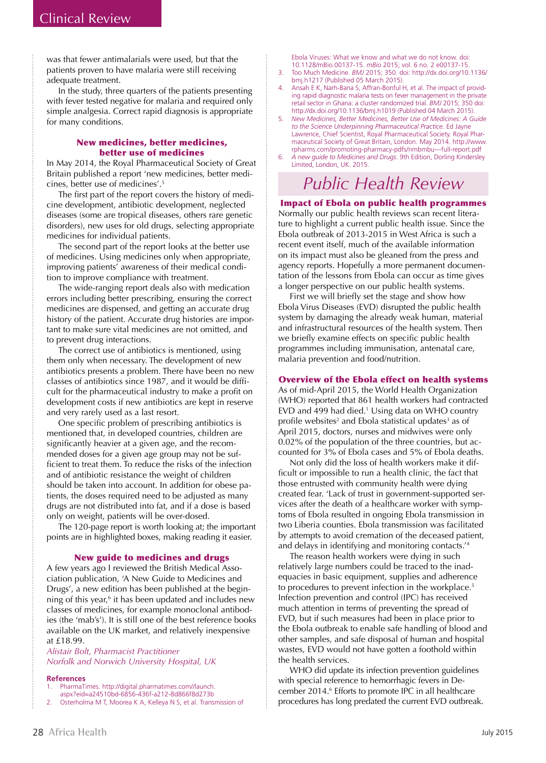was that fewer antimalarials were used, but that the patients proven to have malaria were still receiving adequate treatment.

In the study, three quarters of the patients presenting with fever tested negative for malaria and required only simple analgesia. Correct rapid diagnosis is appropriate for many conditions.

## New medicines, better medicines, better use of medicines

In May 2014, the Royal Pharmaceutical Society of Great Britain published a report 'new medicines, better medicines, better use of medicines'.5

The first part of the report covers the history of medicine development, antibiotic development, neglected diseases (some are tropical diseases, others rare genetic disorders), new uses for old drugs, selecting appropriate medicines for individual patients.

The second part of the report looks at the better use of medicines. Using medicines only when appropriate, improving patients' awareness of their medical condition to improve compliance with treatment.

The wide-ranging report deals also with medication errors including better prescribing, ensuring the correct medicines are dispensed, and getting an accurate drug history of the patient. Accurate drug histories are important to make sure vital medicines are not omitted, and to prevent drug interactions.

The correct use of antibiotics is mentioned, using them only when necessary. The development of new antibiotics presents a problem. There have been no new classes of antibiotics since 1987, and it would be difficult for the pharmaceutical industry to make a profit on development costs if new antibiotics are kept in reserve and very rarely used as a last resort.

One specific problem of prescribing antibiotics is mentioned that, in developed countries, children are significantly heavier at a given age, and the recommended doses for a given age group may not be sufficient to treat them. To reduce the risks of the infection and of antibiotic resistance the weight of children should be taken into account. In addition for obese patients, the doses required need to be adjusted as many drugs are not distributed into fat, and if a dose is based only on weight, patients will be over-dosed.

The 120-page report is worth looking at; the important points are in highlighted boxes, making reading it easier.

# New guide to medicines and drugs

A few years ago I reviewed the British Medical Association publication, 'A New Guide to Medicines and Drugs', a new edition has been published at the beginning of this year,<sup>6</sup> it has been updated and includes new classes of medicines, for example monoclonal antibodies (the 'mab's'). It is still one of the best reference books available on the UK market, and relatively inexpensive at £18.99.

*Alistair Bolt, Pharmacist Practitioner Norfolk and Norwich University Hospital, UK*

#### **References**

PharmaTimes. http://digital.pharmatimes.com//launch. aspx?eid=a24510bd-6856-436f-a212-8d866f8d273b

2. Osterholma M T, Moorea K A, Kelleya N S, et al. Transmission of

Ebola Viruses: What we know and what we do not know. doi: 10.1128/mBio.00137-15. *mBio* 2015; vol. 6 no. 2 e00137-15.

- 3. Too Much Medicine. *BMJ* 2015; 350. doi: http://dx.doi.org/10.1136/ bmj.h1217 (Published 05 March 2015).
- 4. Ansah E K, Narh-Bana S, Affran-Bonful H, et al. The impact of providing rapid diagnostic malaria tests on fever management in the private retail sector in Ghana: a cluster randomized trial. *BMJ* 2015; 350 doi: http://dx.doi.org/10.1136/bmj.h1019 (Published 04 March 2015).
- 5. *New Medicines, Better Medicines, Better Use of Medicines: A Guide to the Science Underpinning Pharmaceutical Practice.* Ed Jayne Lawrence, Chief Scientist, Royal Pharmaceutical Society. Royal Pharmaceutical Society of Great Britain, London. May 2014. http://www. rpharms.com/promoting-pharmacy-pdfs/nmbmbu---full-report.pdf
- 6. *A new guide to Medicines and Drugs*. 9th Edition, Dorling Kindersley Limited, London, UK. 2015.

# *Public Health Review*

Impact of Ebola on public health programmes Normally our public health reviews scan recent literature to highlight a current public health issue. Since the Ebola outbreak of 2013-2015 in West Africa is such a recent event itself, much of the available information on its impact must also be gleaned from the press and agency reports. Hopefully a more permanent documentation of the lessons from Ebola can occur as time gives a longer perspective on our public health systems.

First we will briefly set the stage and show how Ebola Virus Diseases (EVD) disrupted the public health system by damaging the already weak human, material and infrastructural resources of the health system. Then we briefly examine effects on specific public health programmes including immunisation, antenatal care, malaria prevention and food/nutrition.

# Overview of the Ebola effect on health systems

As of mid-April 2015, the World Health Organization (WHO) reported that 861 health workers had contracted  $EVD$  and 499 had died.<sup>1</sup> Using data on WHO country profile websites<sup>2</sup> and Ebola statistical updates<sup>3</sup> as of April 2015, doctors, nurses and midwives were only 0.02% of the population of the three countries, but accounted for 3% of Ebola cases and 5% of Ebola deaths.

Not only did the loss of health workers make it difficult or impossible to run a health clinic, the fact that those entrusted with community health were dying created fear. 'Lack of trust in government-supported services after the death of a healthcare worker with symptoms of Ebola resulted in ongoing Ebola transmission in two Liberia counties. Ebola transmission was facilitated by attempts to avoid cremation of the deceased patient, and delays in identifying and monitoring contacts.'4

The reason health workers were dying in such relatively large numbers could be traced to the inadequacies in basic equipment, supplies and adherence to procedures to prevent infection in the workplace.<sup>5</sup> Infection prevention and control (IPC) has received much attention in terms of preventing the spread of EVD, but if such measures had been in place prior to the Ebola outbreak to enable safe handling of blood and other samples, and safe disposal of human and hospital wastes, EVD would not have gotten a foothold within the health services.

WHO did update its infection prevention guidelines with special reference to hemorrhagic fevers in December 2014.<sup>6</sup> Efforts to promote IPC in all healthcare procedures has long predated the current EVD outbreak.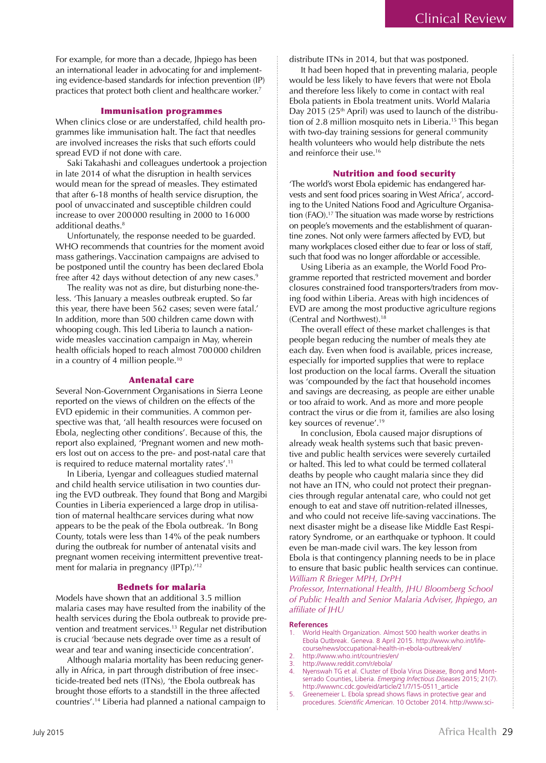For example, for more than a decade, Jhpiego has been an international leader in advocating for and implementing evidence-based standards for infection prevention (IP) practices that protect both client and healthcare worker.<sup>7</sup>

### Immunisation programmes

When clinics close or are understaffed, child health programmes like immunisation halt. The fact that needles are involved increases the risks that such efforts could spread EVD if not done with care.

Saki Takahashi and colleagues undertook a projection in late 2014 of what the disruption in health services would mean for the spread of measles. They estimated that after 6-18 months of health service disruption, the pool of unvaccinated and susceptible children could increase to over 200 000 resulting in 2000 to 16 000 additional deaths.<sup>8</sup>

Unfortunately, the response needed to be guarded. WHO recommends that countries for the moment avoid mass gatherings. Vaccination campaigns are advised to be postponed until the country has been declared Ebola free after 42 days without detection of any new cases.<sup>9</sup>

The reality was not as dire, but disturbing none-theless. 'This January a measles outbreak erupted. So far this year, there have been 562 cases; seven were fatal.' In addition, more than 500 children came down with whooping cough. This led Liberia to launch a nationwide measles vaccination campaign in May, wherein health officials hoped to reach almost 700 000 children in a country of 4 million people.10

#### Antenatal care

Several Non-Government Organisations in Sierra Leone reported on the views of children on the effects of the EVD epidemic in their communities. A common perspective was that, 'all health resources were focused on Ebola, neglecting other conditions'. Because of this, the report also explained, 'Pregnant women and new mothers lost out on access to the pre- and post-natal care that is required to reduce maternal mortality rates'.<sup>11</sup>

In Liberia, Lyengar and colleagues studied maternal and child health service utilisation in two counties during the EVD outbreak. They found that Bong and Margibi Counties in Liberia experienced a large drop in utilisation of maternal healthcare services during what now appears to be the peak of the Ebola outbreak. 'In Bong County, totals were less than 14% of the peak numbers during the outbreak for number of antenatal visits and pregnant women receiving intermittent preventive treatment for malaria in pregnancy (IPTp).<sup>'12</sup>

#### Bednets for malaria

Models have shown that an additional 3.5 million malaria cases may have resulted from the inability of the health services during the Ebola outbreak to provide prevention and treatment services.13 Regular net distribution is crucial 'because nets degrade over time as a result of wear and tear and waning insecticide concentration'.

Although malaria mortality has been reducing generally in Africa, in part through distribution of free insecticide-treated bed nets (ITNs), 'the Ebola outbreak has brought those efforts to a standstill in the three affected countries'.14 Liberia had planned a national campaign to distribute ITNs in 2014, but that was postponed.

It had been hoped that in preventing malaria, people would be less likely to have fevers that were not Ebola and therefore less likely to come in contact with real Ebola patients in Ebola treatment units. World Malaria Day 2015 ( $25<sup>th</sup>$  April) was used to launch of the distribution of 2.8 million mosquito nets in Liberia.<sup>15</sup> This began with two-day training sessions for general community health volunteers who would help distribute the nets and reinforce their use.<sup>16</sup>

#### Nutrition and food security

'The world's worst Ebola epidemic has endangered harvests and sent food prices soaring in West Africa', according to the United Nations Food and Agriculture Organisation (FAO).<sup>17</sup> The situation was made worse by restrictions on people's movements and the establishment of quarantine zones. Not only were farmers affected by EVD, but many workplaces closed either due to fear or loss of staff, such that food was no longer affordable or accessible.

Using Liberia as an example, the World Food Programme reported that restricted movement and border closures constrained food transporters/traders from moving food within Liberia. Areas with high incidences of EVD are among the most productive agriculture regions (Central and Northwest).18

The overall effect of these market challenges is that people began reducing the number of meals they ate each day. Even when food is available, prices increase, especially for imported supplies that were to replace lost production on the local farms. Overall the situation was 'compounded by the fact that household incomes and savings are decreasing, as people are either unable or too afraid to work. And as more and more people contract the virus or die from it, families are also losing key sources of revenue'.19

In conclusion, Ebola caused major disruptions of already weak health systems such that basic preventive and public health services were severely curtailed or halted. This led to what could be termed collateral deaths by people who caught malaria since they did not have an ITN, who could not protect their pregnancies through regular antenatal care, who could not get enough to eat and stave off nutrition-related illnesses, and who could not receive life-saving vaccinations. The next disaster might be a disease like Middle East Respiratory Syndrome, or an earthquake or typhoon. It could even be man-made civil wars. The key lesson from Ebola is that contingency planning needs to be in place to ensure that basic public health services can continue. *William R Brieger MPH, DrPH*

*Professor, International Health, JHU Bloomberg School of Public Health and Senior Malaria Adviser, Jhpiego, an affiliate of JHU*

#### **References**

- 1. World Health Organization. Almost 500 health worker deaths in Ebola Outbreak. Geneva. 8 April 2015. http://www.who.int/lifecourse/news/occupational-health-in-ebola-outbreak/en/
- 2. http://www.who.int/countries/en/<br>3. http://www.reddit.com/r/ehola/
- 3. http://www.reddit.com/r/ebola/<br>4. Nyenswah TG et al. Cluster of E Nyenswah TG et al. Cluster of Ebola Virus Disease, Bong and Montserrado Counties, Liberia. *Emerging Infectious Diseases* 2015; 21(7). http://wwwnc.cdc.gov/eid/article/21/7/15-0511\_article
- 5. Greenemeier L. Ebola spread shows flaws in protective gear and procedures. *Scientific American*. 10 October 2014. http://www.sci-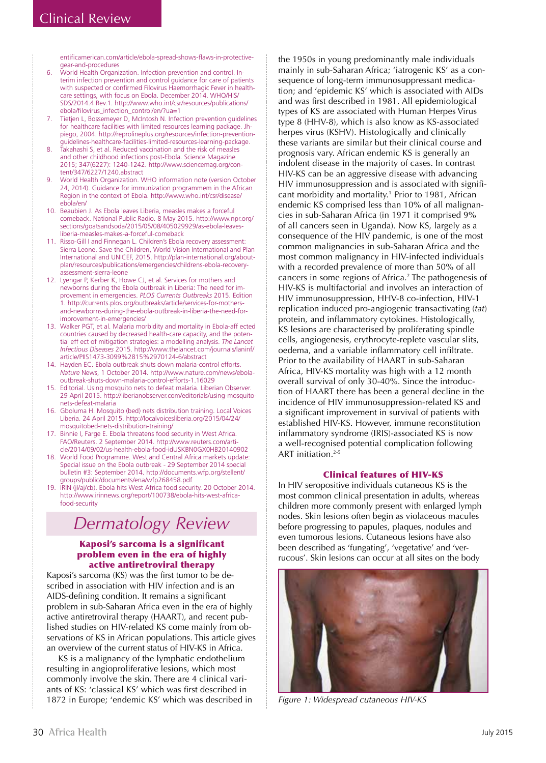entificamerican.com/article/ebola-spread-shows-flaws-in-protectivegear-and-procedures

- 6. World Health Organization. Infection prevention and control. Interim infection prevention and control guidance for care of patients with suspected or confirmed Filovirus Haemorrhagic Fever in healthcare settings, with focus on Ebola. December 2014. WHO/HIS/ SDS/2014.4 Rev.1. http://www.who.int/csr/resources/publications/ ebola/filovirus\_infection\_control/en/?ua=1
- 7. Tietjen L, Bossemeyer D, McIntosh N. Infection prevention guidelines for healthcare facilities with limited resources learning package. Jhpiego, 2004. http://reprolineplus.org/resources/infection-preventionguidelines-healthcare-facilities-limited-resources-learning-package.
- 8. Takahashi S, et al. Reduced vaccination and the risk of measles and other childhood infections post-Ebola. Science Magazine 2015; 347(6227): 1240-1242. http://www.sciencemag.org/content/347/6227/1240.abstract
- 9. World Health Organization. WHO information note (version October 24, 2014). Guidance for immunization programmem in the African Region in the context of Ebola. http://www.who.int/csr/disease/ ebola/en/
- 10. Beaubien J. As Ebola leaves Liberia, measles makes a forceful comeback. National Public Radio. 8 May 2015. http://www.npr.org/ sections/goatsandsoda/2015/05/08/405029929/as-ebola-leavesliberia-measles-makes-a-forceful-comeback
- 11. Risso-Gill I and Finnegan L. Children's Ebola recovery assessment: Sierra Leone. Save the Children, World Vision International and Plan International and UNICEF, 2015. http://plan-international.org/aboutplan/resources/publications/emergencies/childrens-ebola-recoveryassessment-sierra-leone
- 12. Lyengar P, Kerber K, Howe CJ, et al. Services for mothers and newborns during the Ebola outbreak in Liberia: The need for improvement in emergencies. *PLOS Currents Outbreaks* 2015. Edition 1. http://currents.plos.org/outbreaks/article/services-for-mothersand-newborns-during-the-ebola-outbreak-in-liberia-the-need-forimprovement-in-emergencies/
- 13. Walker PGT, et al. Malaria morbidity and mortality in Ebola-aff ected countries caused by decreased health-care capacity, and the potential eff ect of mitigation strategies: a modelling analysis. *The Lancet Infectious Diseases* 2015. http://www.thelancet.com/journals/laninf/ article/PIIS1473-3099%2815%2970124-6/abstract
- 14. Hayden EC. Ebola outbreak shuts down malaria-control efforts. *Nature* News, 1 October 2014. http://www.nature.com/news/ebolaoutbreak-shuts-down-malaria-control-efforts-1.16029
- 15. Editorial. Using mosquito nets to defeat malaria. Liberian Observer. 29 April 2015. http://liberianobserver.com/editorials/using-mosquitonets-defeat-malaria
- 16. Gboluma H. Mosquito (bed) nets distribution training. Local Voices Liberia. 24 April 2015. http://localvoicesliberia.org/2015/04/24/ mosquitobed-nets-distribution-training/
- 17. Binnie I, Farge E. Ebola threatens food security in West Africa. FAO/Reuters. 2 September 2014. http://www.reuters.com/article/2014/09/02/us-health-ebola-food-idUSKBN0GX0HB20140902
- 18. World Food Programme. West and Central Africa markets update: Special issue on the Ebola outbreak - 29 September 2014 special bulletin #3: September 2014. http://documents.wfp.org/stellent/ groups/public/documents/ena/wfp268458.pdf
- 19. IRIN (jl/aj/cb). Ebola hits West Africa food security. 20 October 2014. http://www.irinnews.org/report/100738/ebola-hits-west-africafood-security

# *Dermatology Review*

# Kaposi's sarcoma is a significant problem even in the era of highly active antiretroviral therapy

Kaposi's sarcoma (KS) was the first tumor to be described in association with HIV infection and is an AIDS-defining condition. It remains a significant problem in sub-Saharan Africa even in the era of highly active antiretroviral therapy (HAART), and recent published studies on HIV-related KS come mainly from observations of KS in African populations. This article gives an overview of the current status of HIV-KS in Africa.

KS is a malignancy of the lymphatic endothelium resulting in angioproliferative lesions, which most commonly involve the skin. There are 4 clinical variants of KS: 'classical KS' which was first described in 1872 in Europe; 'endemic KS' which was described in the 1950s in young predominantly male individuals mainly in sub-Saharan Africa; 'iatrogenic KS' as a consequence of long-term immunosuppressant medication; and 'epidemic KS' which is associated with AIDs and was first described in 1981. All epidemiological types of KS are associated with Human Herpes Virus type 8 (HHV-8), which is also know as KS-associated herpes virus (KSHV). Histologically and clinically these variants are similar but their clinical course and prognosis vary. African endemic KS is generally an indolent disease in the majority of cases. In contrast HIV-KS can be an aggressive disease with advancing HIV immunosuppression and is associated with significant morbidity and mortality.1 Prior to 1981, African endemic KS comprised less than 10% of all malignancies in sub-Saharan Africa (in 1971 it comprised 9% of all cancers seen in Uganda). Now KS, largely as a consequence of the HIV pandemic, is one of the most common malignancies in sub-Saharan Africa and the most common malignancy in HIV-infected individuals with a recorded prevalence of more than 50% of all cancers in some regions of Africa.<sup>2</sup> The pathogenesis of HIV-KS is multifactorial and involves an interaction of HIV immunosuppression, HHV-8 co-infection, HIV-1 replication induced pro-angiogenic transactivating (*tat*) protein, and inflammatory cytokines. Histologically, KS lesions are characterised by proliferating spindle cells, angiogenesis, erythrocyte-replete vascular slits, oedema, and a variable inflammatory cell infiltrate. Prior to the availability of HAART in sub-Saharan Africa, HIV-KS mortality was high with a 12 month overall survival of only 30-40%. Since the introduction of HAART there has been a general decline in the incidence of HIV immunosuppression-related KS and a significant improvement in survival of patients with established HIV-KS. However, immune reconstitution inflammatory syndrome (IRIS)-associated KS is now a well-recognised potential complication following ART initiation.<sup>2-5</sup>

# Clinical features of HIV-KS

In HIV seropositive individuals cutaneous KS is the most common clinical presentation in adults, whereas children more commonly present with enlarged lymph nodes. Skin lesions often begin as violaceous macules before progressing to papules, plaques, nodules and even tumorous lesions. Cutaneous lesions have also been described as 'fungating', 'vegetative' and 'verrucous'. Skin lesions can occur at all sites on the body



*Figure 1: Widespread cutaneous HIV-KS*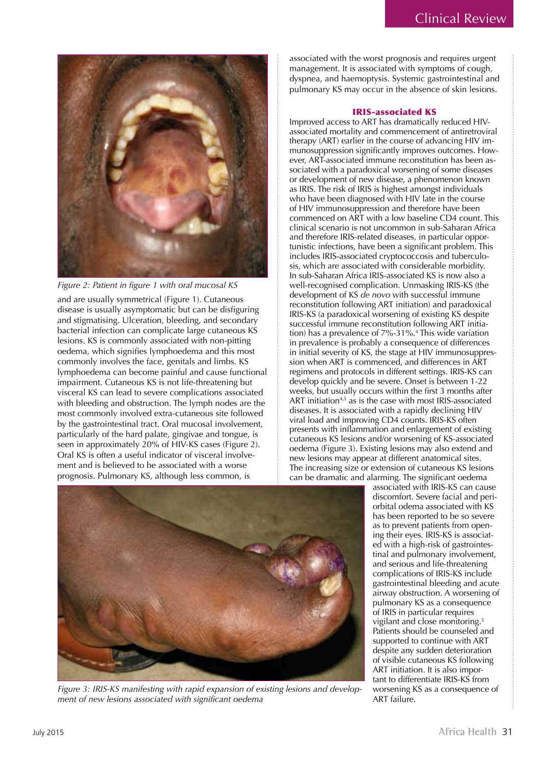

*Figure 2: Patient in figure 1 with oral mucosal KS*

and are usually symmetrical (Figure 1). Cutaneous disease is usually asymptomatic but can be disfiguring and stigmatising. Ulceration, bleeding, and secondary bacterial infection can complicate large cutaneous KS lesions. KS is commonly associated with non-pitting oedema, which signifies lymphoedema and this most commonly involves the face, genitals and limbs. KS lymphoedema can become painful and cause functional impairment. Cutaneous KS is not life-threatening but visceral KS can lead to severe complications associated with bleeding and obstruction. The lymph nodes are the most commonly involved extra-cutaneous site followed by the gastrointestinal tract. Oral mucosal involvement, particularly of the hard palate, gingivae and tongue, is seen in approximately 20% of HIV-KS cases (Figure 2). Oral KS is often a useful indicator of visceral involvement and is believed to be associated with a worse prognosis. Pulmonary KS, although less common, is

associated with the worst prognosis and requires urgent management. It is associated with symptoms of cough, dyspnea, and haemoptysis. Systemic gastrointestinal and pulmonary KS may occur in the absence of skin lesions.

## IRIS-associated KS

Improved access to ART has dramatically reduced HIVassociated mortality and commencement of antiretroviral therapy (ART) earlier in the course of advancing HIV immunosuppression significantly improves outcomes. However, ART-associated immune reconstitution has been associated with a paradoxical worsening of some diseases or development of new disease, a phenomenon known as IRIS. The risk of IRIS is highest amongst individuals who have been diagnosed with HIV late in the course of HIV immunosuppression and therefore have been commenced on ART with a low baseline CD4 count. This clinical scenario is not uncommon in sub-Saharan Africa and therefore IRIS-related diseases, in particular opportunistic infections, have been a significant problem. This includes IRIS-associated cryptococcosis and tuberculosis, which are associated with considerable morbidity. In sub-Saharan Africa IRIS-associated KS is now also a well-recognised complication. Unmasking IRIS-KS (the development of KS *de novo* with successful immune reconstitution following ART initiation) and paradoxical IRIS-KS (a paradoxical worsening of existing KS despite successful immune reconstitution following ART initiation) has a prevalence of 7%-31%.4 This wide variation in prevalence is probably a consequence of differences in initial severity of KS, the stage at HIV immunosuppression when ART is commenced, and differences in ART regimens and protocols in different settings. IRIS-KS can develop quickly and be severe. Onset is between 1-22 weeks, but usually occurs within the first 3 months after ART initiation<sup>4,5</sup> as is the case with most IRIS-associated diseases. It is associated with a rapidly declining HIV viral load and improving CD4 counts. IRIS-KS often presents with inflammation and enlargement of existing cutaneous KS lesions and/or worsening of KS-associated oedema (Figure 3). Existing lesions may also extend and new lesions may appear at different anatomical sites. The increasing size or extension of cutaneous KS lesions can be dramatic and alarming. The significant oedema



*Figure 3: IRIS-KS manifesting with rapid expansion of existing lesions and development of new lesions associated with significant oedema*

associated with IRIS-KS can cause discomfort. Severe facial and periorbital odema associated with KS has been reported to be so severe as to prevent patients from opening their eyes. IRIS-KS is associated with a high-risk of gastrointestinal and pulmonary involvement, and serious and life-threatening complications of IRIS-KS include gastrointestinal bleeding and acute airway obstruction. A worsening of pulmonary KS as a consequence of IRIS in particular requires vigilant and close monitoring.<sup>5</sup> Patients should be counseled and supported to continue with ART despite any sudden deterioration of visible cutaneous KS following ART initiation. It is also important to differentiate IRIS-KS from worsening KS as a consequence of ART failure.